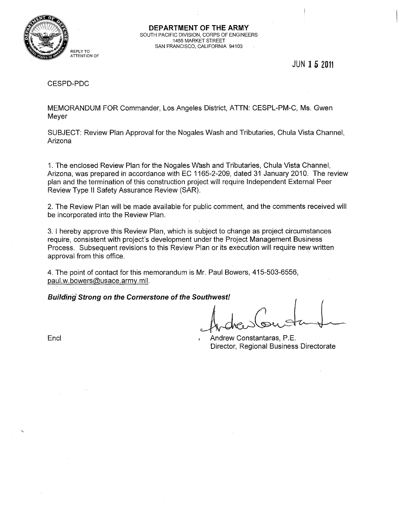

**DEPARTMENT OF THE ARMY**  SOUTH PACIFIC DIVISION, CORPS OF ENGINEERS 1455 MARKET STREET SAN FRANCISCO, CALIFORNIA 94103

JUN **152011** 

#### CESPD-PDC

MEMORANDUM FOR Commander, Los Angeles District, ATTN: CESPL-PM-C, Ms. Gwen Meyer

SUBJECT: Review Plan Approval for the Nogales Wash and Tributaries, Chula Vista Channel, Arizona

1. The enclosed Review Plan for the Nogales Wash and Tributaries, Chula Vista Channel, Arizona, was prepared in accordance with EC 1165-2-209, dated 31 January 2010. The review plan and the termination of this construction project will require Independent External Peer Review Type II Safety Assurance Review (SAR).

2. The Review Plan will be made available for public comment, and the comments received will be incorporated into the Review Plan.

3. I hereby approve this Review Plan, which is subject to change as project circumstances require, consistent with project's development under the Project Management Business Process. Subsequent revisions to this Review Plan or its execution will require new written approval from this office. .

4. The point of contact for this memorandum is Mr. Paul Bowers, 415-503-6556, paul.w.bowers@usace.army.mil.

**Building Strong on the Cornerstone of the Southwest!** 

Encl **Ene and Telecometer Constantaras, P.E.** Andrew Constantaras, P.E. Director, Regional Business Directorate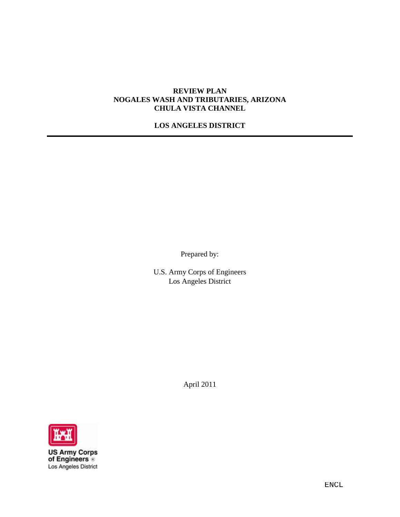#### **REVIEW PLAN NOGALES WASH AND TRIBUTARIES, ARIZONA CHULA VISTA CHANNEL**

# **LOS ANGELES DISTRICT**

Prepared by:

U.S. Army Corps of Engineers Los Angeles District

April 2011



**US Army Corps**<br>of Engineers Los Angeles District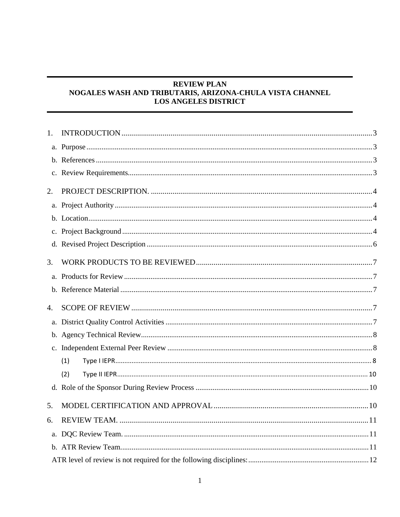# **REVIEW PLAN** NOGALES WASH AND TRIBUTARIS, ARIZONA-CHULA VISTA CHANNEL **LOS ANGELES DISTRICT**

| 1.             |     |  |
|----------------|-----|--|
|                |     |  |
|                |     |  |
|                |     |  |
| 2.             |     |  |
|                |     |  |
|                |     |  |
|                |     |  |
|                |     |  |
| 3.             |     |  |
|                |     |  |
|                |     |  |
|                |     |  |
| $\mathbf{4}$ . |     |  |
|                |     |  |
|                |     |  |
|                |     |  |
|                | (1) |  |
|                | (2) |  |
|                |     |  |
| 5.             |     |  |
| 6.             |     |  |
|                |     |  |
|                |     |  |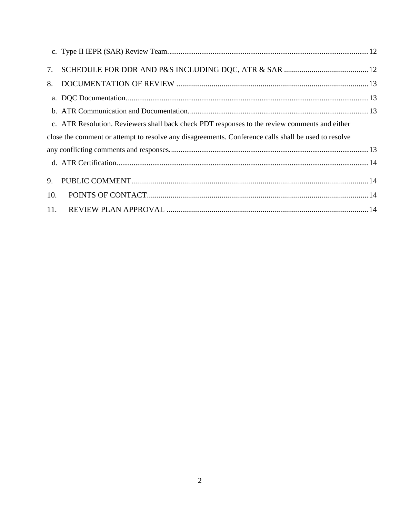|     | c. ATR Resolution. Reviewers shall back check PDT responses to the review comments and either        |  |
|-----|------------------------------------------------------------------------------------------------------|--|
|     | close the comment or attempt to resolve any disagreements. Conference calls shall be used to resolve |  |
|     |                                                                                                      |  |
|     |                                                                                                      |  |
|     |                                                                                                      |  |
| 10. |                                                                                                      |  |
|     |                                                                                                      |  |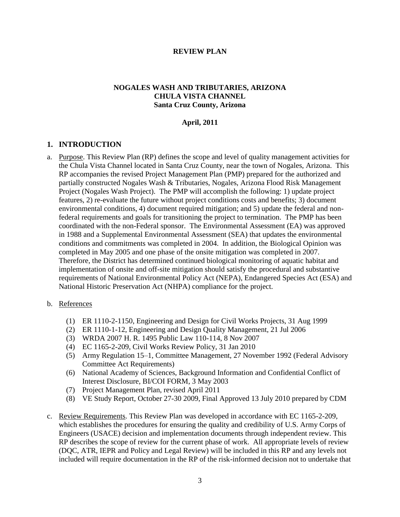#### **REVIEW PLAN**

#### **NOGALES WASH AND TRIBUTARIES, ARIZONA CHULA VISTA CHANNEL Santa Cruz County, Arizona**

#### **April, 2011**

#### <span id="page-4-0"></span>**1. INTRODUCTION**

<span id="page-4-1"></span>a. Purpose. This Review Plan (RP) defines the scope and level of quality management activities for the Chula Vista Channel located in Santa Cruz County, near the town of Nogales, Arizona. This RP accompanies the revised Project Management Plan (PMP) prepared for the authorized and partially constructed Nogales Wash & Tributaries, Nogales, Arizona Flood Risk Management Project (Nogales Wash Project). The PMP will accomplish the following: 1) update project features, 2) re-evaluate the future without project conditions costs and benefits; 3) document environmental conditions, 4) document required mitigation; and 5) update the federal and nonfederal requirements and goals for transitioning the project to termination. The PMP has been coordinated with the non-Federal sponsor. The Environmental Assessment (EA) was approved in 1988 and a Supplemental Environmental Assessment (SEA) that updates the environmental conditions and commitments was completed in 2004. In addition, the Biological Opinion was completed in May 2005 and one phase of the onsite mitigation was completed in 2007. Therefore, the District has determined continued biological monitoring of aquatic habitat and implementation of onsite and off-site mitigation should satisfy the procedural and substantive requirements of National Environmental Policy Act (NEPA), Endangered Species Act (ESA) and National Historic Preservation Act (NHPA) compliance for the project.

#### <span id="page-4-2"></span>b. References

- (1) ER 1110-2-1150, Engineering and Design for Civil Works Projects, 31 Aug 1999
- (2) ER 1110-1-12, Engineering and Design Quality Management, 21 Jul 2006
- (3) WRDA 2007 H. R. 1495 Public Law 110-114, 8 Nov 2007
- (4) EC 1165-2-209, Civil Works Review Policy, 31 Jan 2010
- (5) Army Regulation 15–1, Committee Management, 27 November 1992 (Federal Advisory Committee Act Requirements)
- (6) National Academy of Sciences, Background Information and Confidential Conflict of Interest Disclosure, BI/COI FORM, 3 May 2003
- (7) Project Management Plan, revised April 2011
- (8) VE Study Report, October 27-30 2009, Final Approved 13 July 2010 prepared by CDM
- <span id="page-4-3"></span>c. Review Requirements. This Review Plan was developed in accordance with EC 1165-2-209, which establishes the procedures for ensuring the quality and credibility of U.S. Army Corps of Engineers (USACE) decision and implementation documents through independent review. This RP describes the scope of review for the current phase of work. All appropriate levels of review (DQC, ATR, IEPR and Policy and Legal Review) will be included in this RP and any levels not included will require documentation in the RP of the risk-informed decision not to undertake that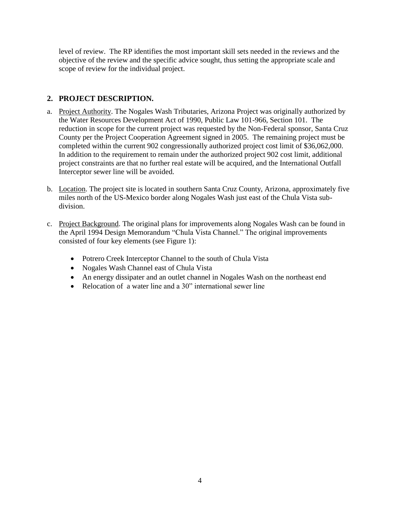level of review. The RP identifies the most important skill sets needed in the reviews and the objective of the review and the specific advice sought, thus setting the appropriate scale and scope of review for the individual project.

# <span id="page-5-0"></span>**2. PROJECT DESCRIPTION.**

- <span id="page-5-1"></span>a. Project Authority. The Nogales Wash Tributaries, Arizona Project was originally authorized by the Water Resources Development Act of 1990, Public Law 101-966, Section 101. The reduction in scope for the current project was requested by the Non-Federal sponsor, Santa Cruz County per the Project Cooperation Agreement signed in 2005. The remaining project must be completed within the current 902 congressionally authorized project cost limit of \$36,062,000. In addition to the requirement to remain under the authorized project 902 cost limit, additional project constraints are that no further real estate will be acquired, and the International Outfall Interceptor sewer line will be avoided.
- <span id="page-5-2"></span>b. Location. The project site is located in southern Santa Cruz County, Arizona, approximately five miles north of the US-Mexico border along Nogales Wash just east of the Chula Vista subdivision.
- <span id="page-5-3"></span>c. Project Background. The original plans for improvements along Nogales Wash can be found in the April 1994 Design Memorandum "Chula Vista Channel." The original improvements consisted of four key elements (see Figure 1):
	- Potrero Creek Interceptor Channel to the south of Chula Vista
	- Nogales Wash Channel east of Chula Vista
	- An energy dissipater and an outlet channel in Nogales Wash on the northeast end
	- Relocation of a water line and a  $30$ " international sewer line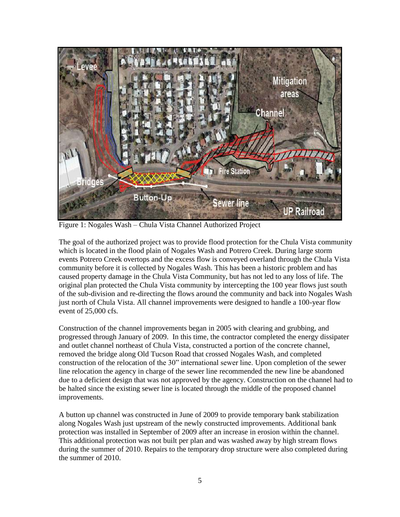

Figure 1: Nogales Wash – Chula Vista Channel Authorized Project

The goal of the authorized project was to provide flood protection for the Chula Vista community which is located in the flood plain of Nogales Wash and Potrero Creek. During large storm events Potrero Creek overtops and the excess flow is conveyed overland through the Chula Vista community before it is collected by Nogales Wash. This has been a historic problem and has caused property damage in the Chula Vista Community, but has not led to any loss of life. The original plan protected the Chula Vista community by intercepting the 100 year flows just south of the sub-division and re-directing the flows around the community and back into Nogales Wash just north of Chula Vista. All channel improvements were designed to handle a 100-year flow event of 25,000 cfs.

Construction of the channel improvements began in 2005 with clearing and grubbing, and progressed through January of 2009. In this time, the contractor completed the energy dissipater and outlet channel northeast of Chula Vista, constructed a portion of the concrete channel, removed the bridge along Old Tucson Road that crossed Nogales Wash, and completed construction of the relocation of the 30" international sewer line. Upon completion of the sewer line relocation the agency in charge of the sewer line recommended the new line be abandoned due to a deficient design that was not approved by the agency. Construction on the channel had to be halted since the existing sewer line is located through the middle of the proposed channel improvements.

A button up channel was constructed in June of 2009 to provide temporary bank stabilization along Nogales Wash just upstream of the newly constructed improvements. Additional bank protection was installed in September of 2009 after an increase in erosion within the channel. This additional protection was not built per plan and was washed away by high stream flows during the summer of 2010. Repairs to the temporary drop structure were also completed during the summer of 2010.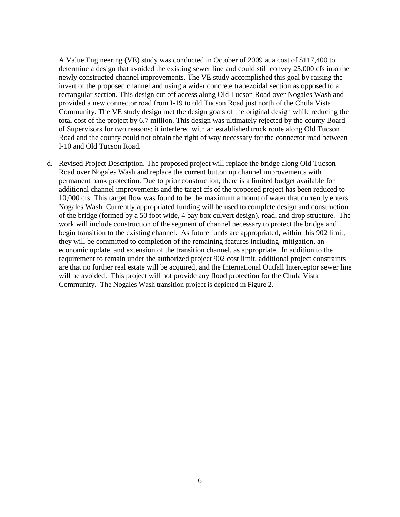A Value Engineering (VE) study was conducted in October of 2009 at a cost of \$117,400 to determine a design that avoided the existing sewer line and could still convey 25,000 cfs into the newly constructed channel improvements. The VE study accomplished this goal by raising the invert of the proposed channel and using a wider concrete trapezoidal section as opposed to a rectangular section. This design cut off access along Old Tucson Road over Nogales Wash and provided a new connector road from I-19 to old Tucson Road just north of the Chula Vista Community. The VE study design met the design goals of the original design while reducing the total cost of the project by 6.7 million. This design was ultimately rejected by the county Board of Supervisors for two reasons: it interfered with an established truck route along Old Tucson Road and the county could not obtain the right of way necessary for the connector road between I-10 and Old Tucson Road.

<span id="page-7-0"></span>d. Revised Project Description. The proposed project will replace the bridge along Old Tucson Road over Nogales Wash and replace the current button up channel improvements with permanent bank protection. Due to prior construction, there is a limited budget available for additional channel improvements and the target cfs of the proposed project has been reduced to 10,000 cfs. This target flow was found to be the maximum amount of water that currently enters Nogales Wash. Currently appropriated funding will be used to complete design and construction of the bridge (formed by a 50 foot wide, 4 bay box culvert design), road, and drop structure. The work will include construction of the segment of channel necessary to protect the bridge and begin transition to the existing channel. As future funds are appropriated, within this 902 limit, they will be committed to completion of the remaining features including mitigation, an economic update, and extension of the transition channel, as appropriate. In addition to the requirement to remain under the authorized project 902 cost limit, additional project constraints are that no further real estate will be acquired, and the International Outfall Interceptor sewer line will be avoided. This project will not provide any flood protection for the Chula Vista Community. The Nogales Wash transition project is depicted in Figure 2.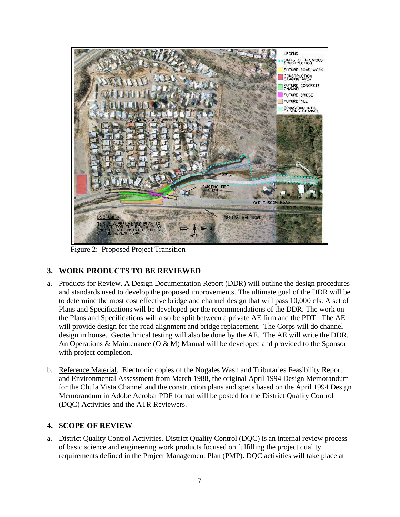

Figure 2: Proposed Project Transition

# <span id="page-8-0"></span>**3. WORK PRODUCTS TO BE REVIEWED**

- <span id="page-8-1"></span>a. Products for Review. A Design Documentation Report (DDR) will outline the design procedures and standards used to develop the proposed improvements. The ultimate goal of the DDR will be to determine the most cost effective bridge and channel design that will pass 10,000 cfs. A set of Plans and Specifications will be developed per the recommendations of the DDR. The work on the Plans and Specifications will also be split between a private AE firm and the PDT. The AE will provide design for the road alignment and bridge replacement. The Corps will do channel design in house. Geotechnical testing will also be done by the AE. The AE will write the DDR. An Operations  $\&$  Maintenance (O  $\&$  M) Manual will be developed and provided to the Sponsor with project completion.
- <span id="page-8-2"></span>b. Reference Material. Electronic copies of the Nogales Wash and Tributaries Feasibility Report and Environmental Assessment from March 1988, the original April 1994 Design Memorandum for the Chula Vista Channel and the construction plans and specs based on the April 1994 Design Memorandum in Adobe Acrobat PDF format will be posted for the District Quality Control (DQC) Activities and the ATR Reviewers.

#### <span id="page-8-3"></span>**4. SCOPE OF REVIEW**

<span id="page-8-4"></span>a. District Quality Control Activities. District Quality Control (DQC) is an internal review process of basic science and engineering work products focused on fulfilling the project quality requirements defined in the Project Management Plan (PMP). DQC activities will take place at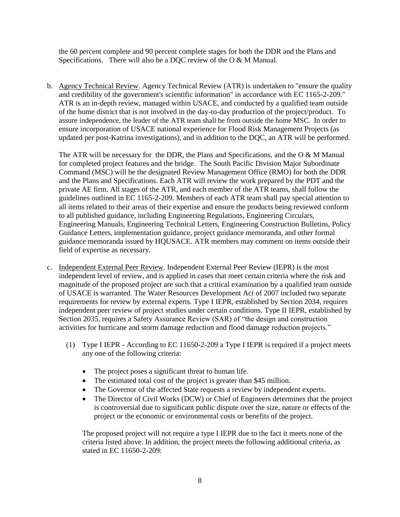the 60 percent complete and 90 percent complete stages for both the DDR and the Plans and Specifications. There will also be a DQC review of the O & M Manual.

<span id="page-9-0"></span>b. Agency Technical Review. Agency Technical Review (ATR) is undertaken to "ensure the quality and credibility of the government's scientific information" in accordance with EC 1165-2-209." ATR is an in-depth review, managed within USACE, and conducted by a qualified team outside of the home district that is not involved in the day-to-day production of the project/product. To assure independence, the leader of the ATR team shall be from outside the home MSC. In order to ensure incorporation of USACE national experience for Flood Risk Management Projects (as updated per post-Katrina investigations), and in addition to the DQC, an ATR will be performed.

The ATR will be necessary for the DDR, the Plans and Specifications, and the  $O & M$  Manual for completed project features and the bridge. The South Pacific Division Major Subordinate Command (MSC) will be the designated Review Management Office (RMO) for both the DDR and the Plans and Specifications. Each ATR will review the work prepared by the PDT and the private AE firm. All stages of the ATR, and each member of the ATR teams, shall follow the guidelines outlined in EC 1165-2-209. Members of each ATR team shall pay special attention to all items related to their areas of their expertise and ensure the products being reviewed conform to all published guidance, including Engineering Regulations, Engineering Circulars, Engineering Manuals, Engineering Technical Letters, Engineering Construction Bulletins, Policy Guidance Letters, implementation guidance, project guidance memoranda, and other formal guidance memoranda issued by HQUSACE. ATR members may comment on items outside their field of expertise as necessary.

- <span id="page-9-2"></span><span id="page-9-1"></span>c. Independent External Peer Review. Independent External Peer Review (IEPR) is the most independent level of review, and is applied in cases that meet certain criteria where the risk and magnitude of the proposed project are such that a critical examination by a qualified team outside of USACE is warranted. The Water Resources Development Act of 2007 included two separate requirements for review by external experts. Type I IEPR, established by Section 2034, requires independent peer review of project studies under certain conditions. Type II IEPR, established by Section 2035, requires a Safety Assurance Review (SAR) of "the design and construction activities for hurricane and storm damage reduction and flood damage reduction projects."
	- (1) Type I IEPR According to EC 11650-2-209 a Type I IEPR is required if a project meets any one of the following criteria:
		- The project poses a significant threat to human life.
		- The estimated total cost of the project is greater than \$45 million.
		- The Governor of the affected State requests a review by independent experts.
		- The Director of Civil Works (DCW) or Chief of Engineers determines that the project is controversial due to significant public dispute over the size, nature or effects of the project or the economic or environmental costs or benefits of the project.

The proposed project will not require a type I IEPR due to the fact it meets none of the criteria listed above. In addition, the project meets the following additional criteria, as stated in EC 11650-2-209: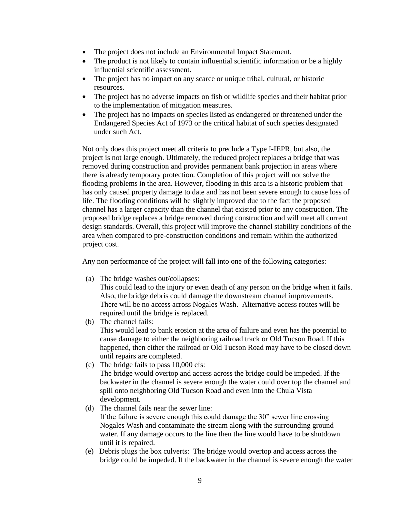- The project does not include an Environmental Impact Statement.
- The product is not likely to contain influential scientific information or be a highly influential scientific assessment.
- The project has no impact on any scarce or unique tribal, cultural, or historic resources.
- The project has no adverse impacts on fish or wildlife species and their habitat prior to the implementation of mitigation measures.
- The project has no impacts on species listed as endangered or threatened under the Endangered Species Act of 1973 or the critical habitat of such species designated under such Act.

Not only does this project meet all criteria to preclude a Type I-IEPR, but also, the project is not large enough. Ultimately, the reduced project replaces a bridge that was removed during construction and provides permanent bank projection in areas where there is already temporary protection. Completion of this project will not solve the flooding problems in the area. However, flooding in this area is a historic problem that has only caused property damage to date and has not been severe enough to cause loss of life. The flooding conditions will be slightly improved due to the fact the proposed channel has a larger capacity than the channel that existed prior to any construction. The proposed bridge replaces a bridge removed during construction and will meet all current design standards. Overall, this project will improve the channel stability conditions of the area when compared to pre-construction conditions and remain within the authorized project cost.

Any non performance of the project will fall into one of the following categories:

(a) The bridge washes out/collapses:

This could lead to the injury or even death of any person on the bridge when it fails. Also, the bridge debris could damage the downstream channel improvements. There will be no access across Nogales Wash. Alternative access routes will be required until the bridge is replaced.

(b) The channel fails:

This would lead to bank erosion at the area of failure and even has the potential to cause damage to either the neighboring railroad track or Old Tucson Road. If this happened, then either the railroad or Old Tucson Road may have to be closed down until repairs are completed.

(c) The bridge fails to pass 10,000 cfs:

The bridge would overtop and access across the bridge could be impeded. If the backwater in the channel is severe enough the water could over top the channel and spill onto neighboring Old Tucson Road and even into the Chula Vista development.

(d) The channel fails near the sewer line:

If the failure is severe enough this could damage the 30" sewer line crossing Nogales Wash and contaminate the stream along with the surrounding ground water. If any damage occurs to the line then the line would have to be shutdown until it is repaired.

(e) Debris plugs the box culverts: The bridge would overtop and access across the bridge could be impeded. If the backwater in the channel is severe enough the water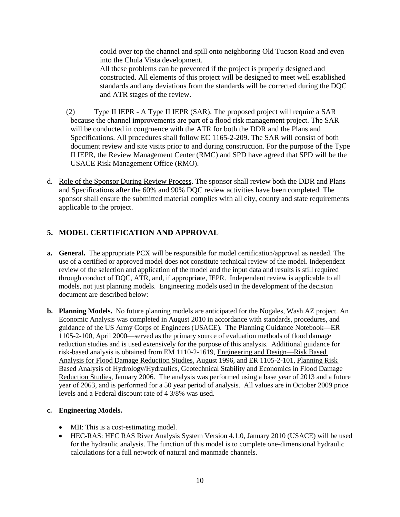could over top the channel and spill onto neighboring Old Tucson Road and even into the Chula Vista development.

All these problems can be prevented if the project is properly designed and constructed. All elements of this project will be designed to meet well established standards and any deviations from the standards will be corrected during the DQC and ATR stages of the review.

- <span id="page-11-0"></span>(2) Type II IEPR - A Type II IEPR (SAR). The proposed project will require a SAR because the channel improvements are part of a flood risk management project. The SAR will be conducted in congruence with the ATR for both the DDR and the Plans and Specifications. All procedures shall follow EC 1165-2-209. The SAR will consist of both document review and site visits prior to and during construction. For the purpose of the Type II IEPR, the Review Management Center (RMC) and SPD have agreed that SPD will be the USACE Risk Management Office (RMO).
- <span id="page-11-1"></span>d. Role of the Sponsor During Review Process. The sponsor shall review both the DDR and Plans and Specifications after the 60% and 90% DQC review activities have been completed. The sponsor shall ensure the submitted material complies with all city, county and state requirements applicable to the project.

# <span id="page-11-2"></span>**5. MODEL CERTIFICATION AND APPROVAL**

- **a. General.** The appropriate PCX will be responsible for model certification/approval as needed. The use of a certified or approved model does not constitute technical review of the model. Independent review of the selection and application of the model and the input data and results is still required through conduct of DQC, ATR, and, if appropri**a**te, IEPR. Independent review is applicable to all models, not just planning models. Engineering models used in the development of the decision document are described below:
- **b. Planning Models.** No future planning models are anticipated for the Nogales, Wash AZ project. An Economic Analysis was completed in August 2010 in accordance with standards, procedures, and guidance of the US Army Corps of Engineers (USACE). The Planning Guidance Notebook—ER 1105-2-100, April 2000—served as the primary source of evaluation methods of flood damage reduction studies and is used extensively for the purpose of this analysis. Additional guidance for risk-based analysis is obtained from EM 1110-2-1619, Engineering and Design—Risk Based Analysis for Flood Damage Reduction Studies, August 1996, and ER 1105-2-101, Planning Risk Based Analysis of Hydrology/Hydraulics, Geotechnical Stability and Economics in Flood Damage Reduction Studies, January 2006. The analysis was performed using a base year of 2013 and a future year of 2063, and is performed for a 50 year period of analysis. All values are in October 2009 price levels and a Federal discount rate of 4 3/8% was used.

#### **c. Engineering Models.**

- MII: This is a cost-estimating model.
- HEC-RAS: HEC RAS River Analysis System Version 4.1.0, January 2010 (USACE) will be used for the hydraulic analysis. The function of this model is to complete one-dimensional hydraulic calculations for a full network of natural and manmade channels.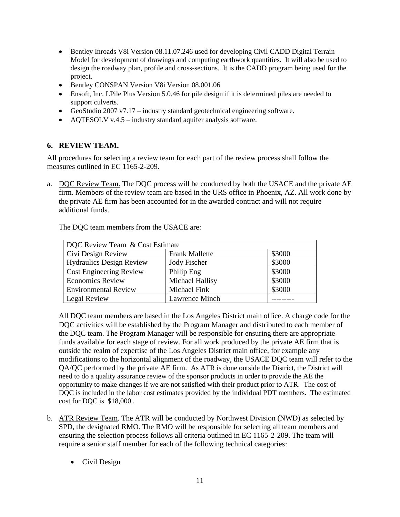- Bentley Inroads V8i Version 08.11.07.246 used for developing Civil CADD Digital Terrain Model for development of drawings and computing earthwork quantities. It will also be used to design the roadway plan, profile and cross-sections. It is the CADD program being used for the project.
- Bentley CONSPAN Version V8i Version 08.001.06
- Ensoft, Inc. LPile Plus Version 5.0.46 for pile design if it is determined piles are needed to support culverts.
- GeoStudio 2007 v7.17 industry standard geotechnical engineering software.
- AQTESOLV v.4.5 industry standard aquifer analysis software.

# <span id="page-12-0"></span>**6. REVIEW TEAM.**

All procedures for selecting a review team for each part of the review process shall follow the measures outlined in EC 1165-2-209.

<span id="page-12-1"></span>a. DQC Review Team. The DQC process will be conducted by both the USACE and the private AE firm. Members of the review team are based in the URS office in Phoenix, AZ. All work done by the private AE firm has been accounted for in the awarded contract and will not require additional funds.

| DQC Review Team & Cost Estimate |                       |        |  |
|---------------------------------|-----------------------|--------|--|
| Civi Design Review              | <b>Frank Mallette</b> | \$3000 |  |
| <b>Hydraulics Design Review</b> | Jody Fischer          | \$3000 |  |
| <b>Cost Engineering Review</b>  | Philip Eng            | \$3000 |  |
| <b>Economics Review</b>         | Michael Hallisy       | \$3000 |  |
| <b>Environmental Review</b>     | Michael Fink          | \$3000 |  |
| Legal Review                    | Lawrence Minch        |        |  |

The DQC team members from the USACE are:

All DQC team members are based in the Los Angeles District main office. A charge code for the DQC activities will be established by the Program Manager and distributed to each member of the DQC team. The Program Manager will be responsible for ensuring there are appropriate funds available for each stage of review. For all work produced by the private AE firm that is outside the realm of expertise of the Los Angeles District main office, for example any modifications to the horizontal alignment of the roadway, the USACE DQC team will refer to the QA/QC performed by the private AE firm. As ATR is done outside the District, the District will need to do a quality assurance review of the sponsor products in order to provide the AE the opportunity to make changes if we are not satisfied with their product prior to ATR. The cost of DQC is included in the labor cost estimates provided by the individual PDT members. The estimated cost for DQC is \$18,000 .

- <span id="page-12-2"></span>b. ATR Review Team. The ATR will be conducted by Northwest Division (NWD) as selected by SPD, the designated RMO. The RMO will be responsible for selecting all team members and ensuring the selection process follows all criteria outlined in EC 1165-2-209. The team will require a senior staff member for each of the following technical categories:
	- Civil Design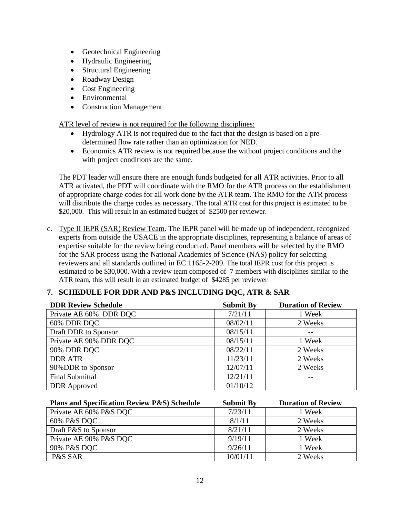- Geotechnical Engineering
- Hydraulic Engineering
- Structural Engineering
- Roadway Design
- Cost Engineering
- Environmental
- Construction Management

<span id="page-13-0"></span>ATR level of review is not required for the following disciplines:

- Hydrology ATR is not required due to the fact that the design is based on a predetermined flow rate rather than an optimization for NED.
- Economics ATR review is not required because the without project conditions and the with project conditions are the same.

The PDT leader will ensure there are enough funds budgeted for all ATR activities. Prior to all ATR activated, the PDT will coordinate with the RMO for the ATR process on the establishment of appropriate charge codes for all work done by the ATR team. The RMO for the ATR process will distribute the charge codes as necessary. The total ATR cost for this project is estimated to be \$20,000. This will result in an estimated budget of \$2500 per reviewer.

<span id="page-13-1"></span>c. Type II IEPR (SAR) Review Team. The IEPR panel will be made up of independent, recognized experts from outside the USACE in the appropriate disciplines, representing a balance of areas of expertise suitable for the review being conducted. Panel members will be selected by the RMO for the SAR process using the National Academies of Science (NAS) policy for selecting reviewers and all standards outlined in EC 1165-2-209. The total IEPR cost for this project is estimated to be \$30,000. With a review team composed of 7 members with disciplines similar to the ATR team, this will result in an estimated budget of \$4285 per reviewer

# <span id="page-13-2"></span>**7. SCHEDULE FOR DDR AND P&S INCLUDING DQC, ATR & SAR**

| <b>DDR Review Schedule</b> | <b>Submit By</b> | <b>Duration of Review</b> |
|----------------------------|------------------|---------------------------|
| Private AE 60% DDR DOC     | 7/21/11          | 1 Week                    |
| 60% DDR DQC                | 08/02/11         | 2 Weeks                   |
| Draft DDR to Sponsor       | 08/15/11         | --                        |
| Private AE 90% DDR DQC     | 08/15/11         | 1 Week                    |
| 90% DDR DQC                | 08/22/11         | 2 Weeks                   |
| <b>DDR ATR</b>             | 11/23/11         | 2 Weeks                   |
| 90%DDR to Sponsor          | 12/07/11         | 2 Weeks                   |
| <b>Final Submittal</b>     | 12/21/11         |                           |
| <b>DDR</b> Approved        | 01/10/12         |                           |

| <b>Plans and Specification Review P&amp;S) Schedule</b> | <b>Submit By</b> | <b>Duration of Review</b> |
|---------------------------------------------------------|------------------|---------------------------|
| Private AE 60% P&S DQC                                  | 7/23/11          | 1 Week                    |
| 60% P&S DQC                                             | 8/1/11           | 2 Weeks                   |
| Draft P&S to Sponsor                                    | 8/21/11          | 2 Weeks                   |
| Private AE 90% P&S DOC                                  | 9/19/11          | 1 Week                    |
| 90% P&S DQC                                             | 9/26/11          | 1 Week                    |
| P&S SAR                                                 | 10/01/11         | 2 Weeks                   |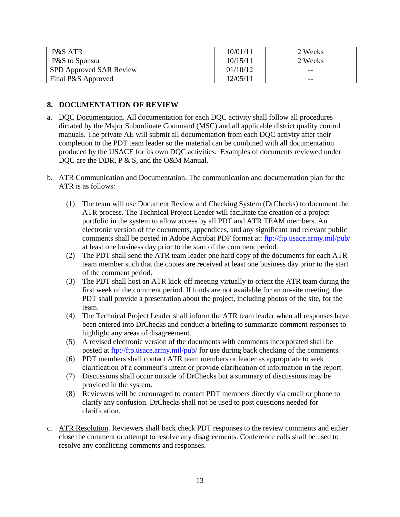| P&S ATR                        | 10/01/11 | 2 Weeks |
|--------------------------------|----------|---------|
| P&S to Sponsor                 | 10/15/11 | 2 Weeks |
| <b>SPD Approved SAR Review</b> | 01/10/12 | $- -$   |
| Final P&S Approved             | 12/05/11 | $- -$   |

#### <span id="page-14-0"></span>**8. DOCUMENTATION OF REVIEW**

- <span id="page-14-1"></span>a. DQC Documentation. All documentation for each DQC activity shall follow all procedures dictated by the Major Subordinate Command (MSC) and all applicable district quality control manuals. The private AE will submit all documentation from each DQC activity after their completion to the PDT team leader so the material can be combined with all documentation produced by the USACE for its own DQC activities. Examples of documents reviewed under DQC are the DDR, P & S, and the O&M Manual.
- <span id="page-14-2"></span>b. ATR Communication and Documentation. The communication and documentation plan for the ATR is as follows:
	- (1) The team will use Document Review and Checking System (DrChecks) to document the ATR process. The Technical Project Leader will facilitate the creation of a project portfolio in the system to allow access by all PDT and ATR TEAM members. An electronic version of the documents, appendices, and any significant and relevant public comments shall be posted in Adobe Acrobat PDF format at: ftp://ftp.usace.army.mil/pub/ at least one business day prior to the start of the comment period.
	- (2) The PDT shall send the ATR team leader one hard copy of the documents for each ATR team member such that the copies are received at least one business day prior to the start of the comment period.
	- (3) The PDT shall host an ATR kick-off meeting virtually to orient the ATR team during the first week of the comment period. If funds are not available for an on-site meeting, the PDT shall provide a presentation about the project, including photos of the site, for the team.
	- (4) The Technical Project Leader shall inform the ATR team leader when all responses have been entered into DrChecks and conduct a briefing to summarize comment responses to highlight any areas of disagreement.
	- (5) A revised electronic version of the documents with comments incorporated shall be posted at ftp://ftp.usace.army.mil/pub/ for use during back checking of the comments.
	- (6) PDT members shall contact ATR team members or leader as appropriate to seek clarification of a comment's intent or provide clarification of information in the report.
	- (7) Discussions shall occur outside of DrChecks but a summary of discussions may be provided in the system.
	- (8) Reviewers will be encouraged to contact PDT members directly via email or phone to clarify any confusion. DrChecks shall not be used to post questions needed for clarification.
- <span id="page-14-3"></span>c. ATR Resolution. Reviewers shall back check PDT responses to the review comments and either close the comment or attempt to resolve any disagreements. Conference calls shall be used to resolve any conflicting comments and responses.